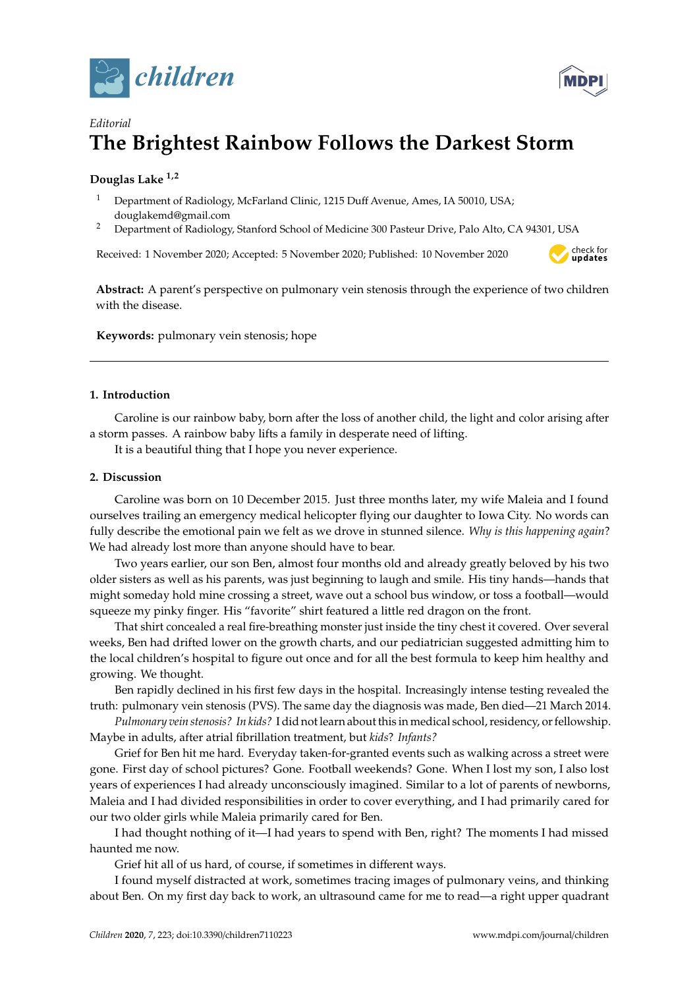



# *Editorial* **The Brightest Rainbow Follows the Darkest Storm**

## **Douglas Lake 1,2**

- <sup>1</sup> Department of Radiology, McFarland Clinic, 1215 Duff Avenue, Ames, IA 50010, USA; douglakemd@gmail.com
- <sup>2</sup> Department of Radiology, Stanford School of Medicine 300 Pasteur Drive, Palo Alto, CA 94301, USA

Received: 1 November 2020; Accepted: 5 November 2020; Published: 10 November 2020



**Abstract:** A parent's perspective on pulmonary vein stenosis through the experience of two children with the disease.

**Keywords:** pulmonary vein stenosis; hope

### **1. Introduction**

Caroline is our rainbow baby, born after the loss of another child, the light and color arising after a storm passes. A rainbow baby lifts a family in desperate need of lifting.

It is a beautiful thing that I hope you never experience.

### **2. Discussion**

Caroline was born on 10 December 2015. Just three months later, my wife Maleia and I found ourselves trailing an emergency medical helicopter flying our daughter to Iowa City. No words can fully describe the emotional pain we felt as we drove in stunned silence. *Why is this happening again*? We had already lost more than anyone should have to bear.

Two years earlier, our son Ben, almost four months old and already greatly beloved by his two older sisters as well as his parents, was just beginning to laugh and smile. His tiny hands—hands that might someday hold mine crossing a street, wave out a school bus window, or toss a football—would squeeze my pinky finger. His "favorite" shirt featured a little red dragon on the front.

That shirt concealed a real fire-breathing monster just inside the tiny chest it covered. Over several weeks, Ben had drifted lower on the growth charts, and our pediatrician suggested admitting him to the local children's hospital to figure out once and for all the best formula to keep him healthy and growing. We thought.

Ben rapidly declined in his first few days in the hospital. Increasingly intense testing revealed the truth: pulmonary vein stenosis (PVS). The same day the diagnosis was made, Ben died—21 March 2014.

*Pulmonary vein stenosis? In kids?* I did not learn about this in medical school, residency, or fellowship. Maybe in adults, after atrial fibrillation treatment, but *kids*? *Infants?*

Grief for Ben hit me hard. Everyday taken-for-granted events such as walking across a street were gone. First day of school pictures? Gone. Football weekends? Gone. When I lost my son, I also lost years of experiences I had already unconsciously imagined. Similar to a lot of parents of newborns, Maleia and I had divided responsibilities in order to cover everything, and I had primarily cared for our two older girls while Maleia primarily cared for Ben.

I had thought nothing of it—I had years to spend with Ben, right? The moments I had missed haunted me now.

Grief hit all of us hard, of course, if sometimes in different ways.

I found myself distracted at work, sometimes tracing images of pulmonary veins, and thinking about Ben. On my first day back to work, an ultrasound came for me to read—a right upper quadrant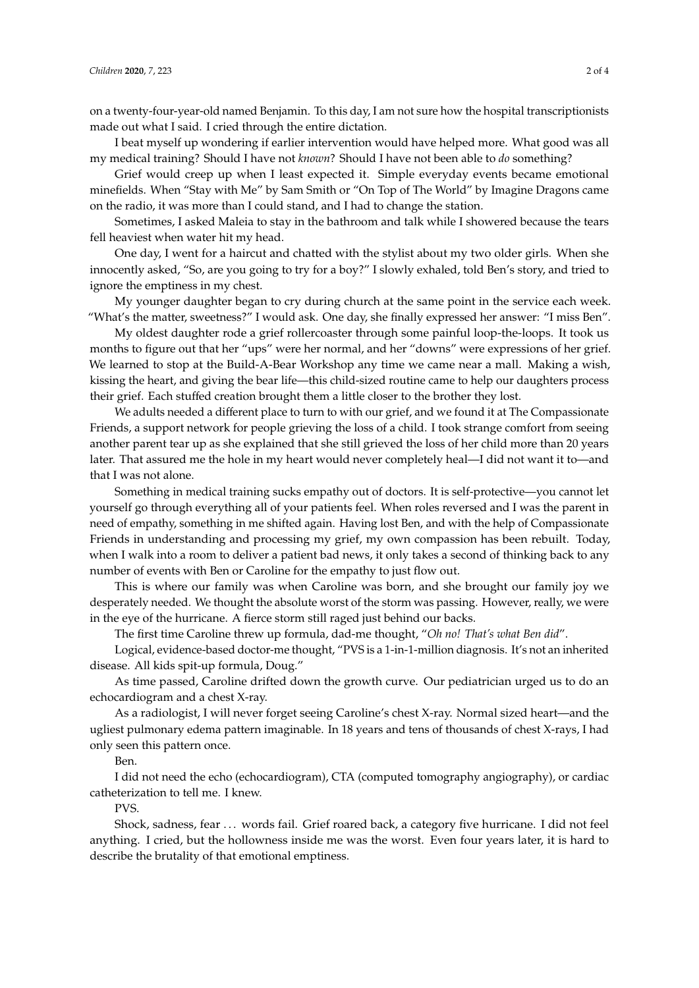on a twenty-four-year-old named Benjamin. To this day, I am not sure how the hospital transcriptionists made out what I said. I cried through the entire dictation.

I beat myself up wondering if earlier intervention would have helped more. What good was all my medical training? Should I have not *known*? Should I have not been able to *do* something?

Grief would creep up when I least expected it. Simple everyday events became emotional minefields. When "Stay with Me" by Sam Smith or "On Top of The World" by Imagine Dragons came on the radio, it was more than I could stand, and I had to change the station.

Sometimes, I asked Maleia to stay in the bathroom and talk while I showered because the tears fell heaviest when water hit my head.

One day, I went for a haircut and chatted with the stylist about my two older girls. When she innocently asked, "So, are you going to try for a boy?" I slowly exhaled, told Ben's story, and tried to ignore the emptiness in my chest.

My younger daughter began to cry during church at the same point in the service each week. "What's the matter, sweetness?" I would ask. One day, she finally expressed her answer: "I miss Ben".

My oldest daughter rode a grief rollercoaster through some painful loop-the-loops. It took us months to figure out that her "ups" were her normal, and her "downs" were expressions of her grief. We learned to stop at the Build-A-Bear Workshop any time we came near a mall. Making a wish, kissing the heart, and giving the bear life—this child-sized routine came to help our daughters process their grief. Each stuffed creation brought them a little closer to the brother they lost.

We adults needed a different place to turn to with our grief, and we found it at The Compassionate Friends, a support network for people grieving the loss of a child. I took strange comfort from seeing another parent tear up as she explained that she still grieved the loss of her child more than 20 years later. That assured me the hole in my heart would never completely heal—I did not want it to—and that I was not alone.

Something in medical training sucks empathy out of doctors. It is self-protective—you cannot let yourself go through everything all of your patients feel. When roles reversed and I was the parent in need of empathy, something in me shifted again. Having lost Ben, and with the help of Compassionate Friends in understanding and processing my grief, my own compassion has been rebuilt. Today, when I walk into a room to deliver a patient bad news, it only takes a second of thinking back to any number of events with Ben or Caroline for the empathy to just flow out.

This is where our family was when Caroline was born, and she brought our family joy we desperately needed. We thought the absolute worst of the storm was passing. However, really, we were in the eye of the hurricane. A fierce storm still raged just behind our backs.

The first time Caroline threw up formula, dad-me thought, "*Oh no! That's what Ben did*".

Logical, evidence-based doctor-me thought, "PVS is a 1-in-1-million diagnosis. It's not an inherited disease. All kids spit-up formula, Doug."

As time passed, Caroline drifted down the growth curve. Our pediatrician urged us to do an echocardiogram and a chest X-ray.

As a radiologist, I will never forget seeing Caroline's chest X-ray. Normal sized heart—and the ugliest pulmonary edema pattern imaginable. In 18 years and tens of thousands of chest X-rays, I had only seen this pattern once.

Ben.

I did not need the echo (echocardiogram), CTA (computed tomography angiography), or cardiac catheterization to tell me. I knew.

PVS.

Shock, sadness, fear . . . words fail. Grief roared back, a category five hurricane. I did not feel anything. I cried, but the hollowness inside me was the worst. Even four years later, it is hard to describe the brutality of that emotional emptiness.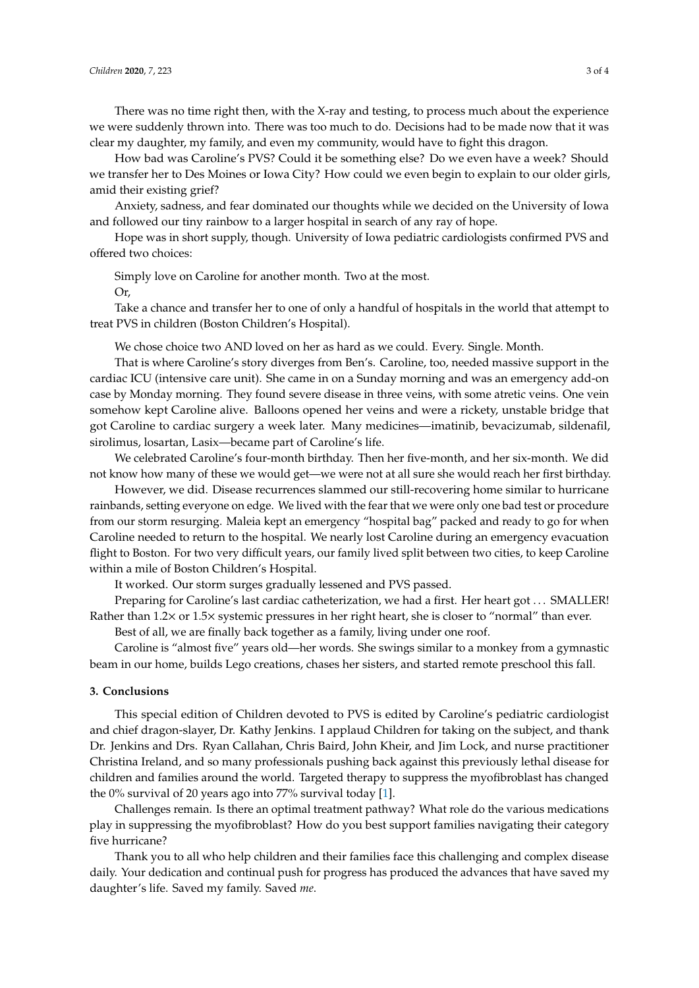There was no time right then, with the X-ray and testing, to process much about the experience we were suddenly thrown into. There was too much to do. Decisions had to be made now that it was clear my daughter, my family, and even my community, would have to fight this dragon.

How bad was Caroline's PVS? Could it be something else? Do we even have a week? Should we transfer her to Des Moines or Iowa City? How could we even begin to explain to our older girls, amid their existing grief?

Anxiety, sadness, and fear dominated our thoughts while we decided on the University of Iowa and followed our tiny rainbow to a larger hospital in search of any ray of hope.

Hope was in short supply, though. University of Iowa pediatric cardiologists confirmed PVS and offered two choices:

Simply love on Caroline for another month. Two at the most.

Or,

Take a chance and transfer her to one of only a handful of hospitals in the world that attempt to treat PVS in children (Boston Children's Hospital).

We chose choice two AND loved on her as hard as we could. Every. Single. Month.

That is where Caroline's story diverges from Ben's. Caroline, too, needed massive support in the cardiac ICU (intensive care unit). She came in on a Sunday morning and was an emergency add-on case by Monday morning. They found severe disease in three veins, with some atretic veins. One vein somehow kept Caroline alive. Balloons opened her veins and were a rickety, unstable bridge that got Caroline to cardiac surgery a week later. Many medicines—imatinib, bevacizumab, sildenafil, sirolimus, losartan, Lasix—became part of Caroline's life.

We celebrated Caroline's four-month birthday. Then her five-month, and her six-month. We did not know how many of these we would get—we were not at all sure she would reach her first birthday.

However, we did. Disease recurrences slammed our still-recovering home similar to hurricane rainbands, setting everyone on edge. We lived with the fear that we were only one bad test or procedure from our storm resurging. Maleia kept an emergency "hospital bag" packed and ready to go for when Caroline needed to return to the hospital. We nearly lost Caroline during an emergency evacuation flight to Boston. For two very difficult years, our family lived split between two cities, to keep Caroline within a mile of Boston Children's Hospital.

It worked. Our storm surges gradually lessened and PVS passed.

Preparing for Caroline's last cardiac catheterization, we had a first. Her heart got ... SMALLER! Rather than  $1.2 \times$  or  $1.5 \times$  systemic pressures in her right heart, she is closer to "normal" than ever.

Best of all, we are finally back together as a family, living under one roof.

Caroline is "almost five" years old—her words. She swings similar to a monkey from a gymnastic beam in our home, builds Lego creations, chases her sisters, and started remote preschool this fall.

#### **3. Conclusions**

This special edition of Children devoted to PVS is edited by Caroline's pediatric cardiologist and chief dragon-slayer, Dr. Kathy Jenkins. I applaud Children for taking on the subject, and thank Dr. Jenkins and Drs. Ryan Callahan, Chris Baird, John Kheir, and Jim Lock, and nurse practitioner Christina Ireland, and so many professionals pushing back against this previously lethal disease for children and families around the world. Targeted therapy to suppress the myofibroblast has changed the 0% survival of 20 years ago into 77% survival today [\[1\]](#page-3-0).

Challenges remain. Is there an optimal treatment pathway? What role do the various medications play in suppressing the myofibroblast? How do you best support families navigating their category five hurricane?

Thank you to all who help children and their families face this challenging and complex disease daily. Your dedication and continual push for progress has produced the advances that have saved my daughter's life. Saved my family. Saved *me*.